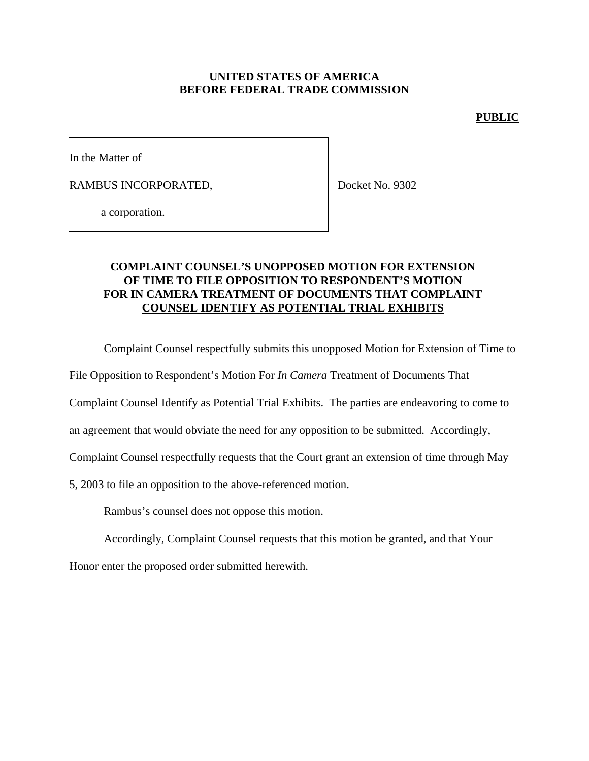### **UNITED STATES OF AMERICA BEFORE FEDERAL TRADE COMMISSION**

#### **PUBLIC**

In the Matter of

RAMBUS INCORPORATED,

Docket No. 9302

a corporation.

## **COMPLAINT COUNSEL'S UNOPPOSED MOTION FOR EXTENSION OF TIME TO FILE OPPOSITION TO RESPONDENT'S MOTION FOR IN CAMERA TREATMENT OF DOCUMENTS THAT COMPLAINT COUNSEL IDENTIFY AS POTENTIAL TRIAL EXHIBITS**

Complaint Counsel respectfully submits this unopposed Motion for Extension of Time to

File Opposition to Respondent's Motion For *In Camera* Treatment of Documents That

Complaint Counsel Identify as Potential Trial Exhibits. The parties are endeavoring to come to

an agreement that would obviate the need for any opposition to be submitted. Accordingly,

Complaint Counsel respectfully requests that the Court grant an extension of time through May

5, 2003 to file an opposition to the above-referenced motion.

Rambus's counsel does not oppose this motion.

Accordingly, Complaint Counsel requests that this motion be granted, and that Your

Honor enter the proposed order submitted herewith.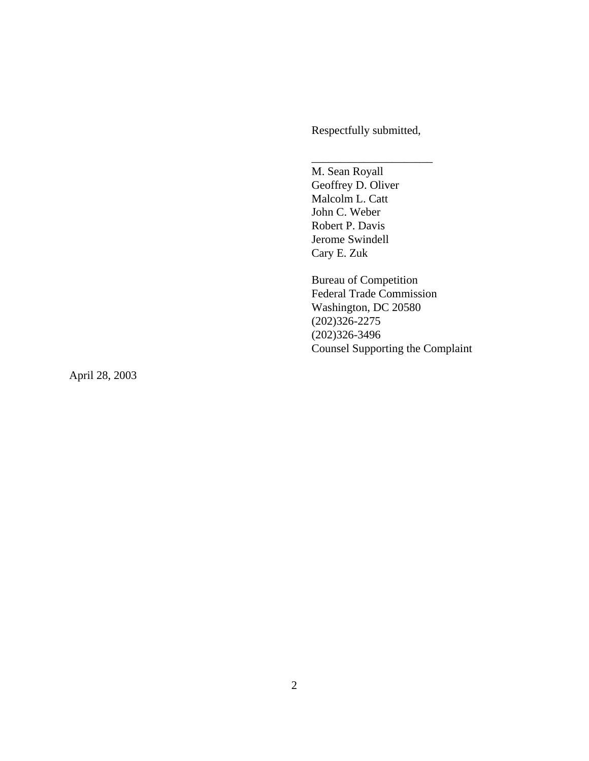Respectfully submitted,

\_\_\_\_\_\_\_\_\_\_\_\_\_\_\_\_\_\_\_\_\_

M. Sean Royall Geoffrey D. Oliver Malcolm L. Catt John C. Weber Robert P. Davis Jerome Swindell Cary E. Zuk

Bureau of Competition Federal Trade Commission Washington, DC 20580 (202)326-2275 (202)326-3496 Counsel Supporting the Complaint

April 28, 2003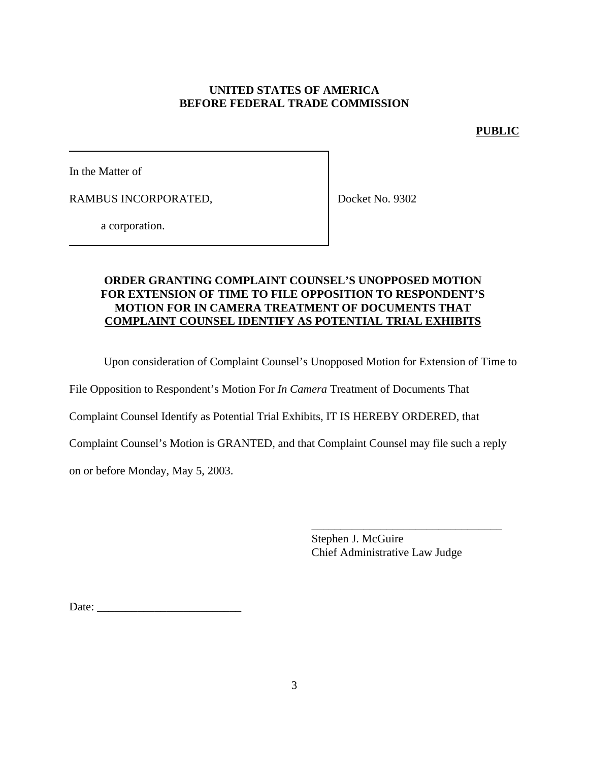# **UNITED STATES OF AMERICA BEFORE FEDERAL TRADE COMMISSION**

### **PUBLIC**

In the Matter of

RAMBUS INCORPORATED,

Docket No. 9302

a corporation.

# **ORDER GRANTING COMPLAINT COUNSEL'S UNOPPOSED MOTION FOR EXTENSION OF TIME TO FILE OPPOSITION TO RESPONDENT'S MOTION FOR IN CAMERA TREATMENT OF DOCUMENTS THAT COMPLAINT COUNSEL IDENTIFY AS POTENTIAL TRIAL EXHIBITS**

Upon consideration of Complaint Counsel's Unopposed Motion for Extension of Time to

File Opposition to Respondent's Motion For *In Camera* Treatment of Documents That

Complaint Counsel Identify as Potential Trial Exhibits, IT IS HEREBY ORDERED, that

Complaint Counsel's Motion is GRANTED, and that Complaint Counsel may file such a reply

on or before Monday, May 5, 2003.

Stephen J. McGuire Chief Administrative Law Judge

\_\_\_\_\_\_\_\_\_\_\_\_\_\_\_\_\_\_\_\_\_\_\_\_\_\_\_\_\_\_\_\_\_

Date: